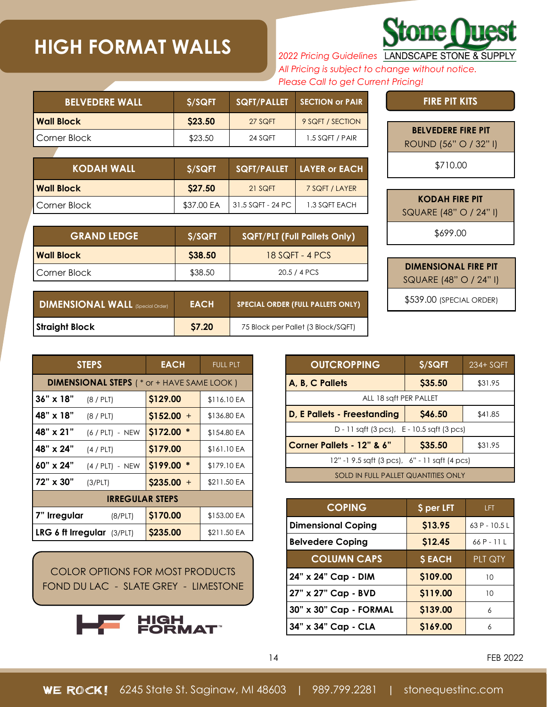## **HIGH FORMAT WALLS**

*2022 Pricing Guidelines All Pricing is subject to change without notice. Please Call to get Current Pricing!*

| <b>BELVEDERE WALL</b> | <b>S/SQFT</b> | SQFT/PALLET | <b>SECTION or PAIR.</b> |
|-----------------------|---------------|-------------|-------------------------|
| <b>Wall Block</b>     | \$23.50       | 27 SQFT     | 9 SQFT / SECTION        |
| Corner Block          | \$23.50       | 24 SQFT     | $1.5$ SQFT / PAIR       |

| KODAH WALL '          | \$/SQFT    |                   | SQFT/PALLET LAYER or EACH |
|-----------------------|------------|-------------------|---------------------------|
| l Wall Block          | \$27.50    | 21 SQFT           | 7 SQFT / LAYER            |
| <b>I</b> Corner Block | \$37.00 EA | 31.5 SQFT - 24 PC | 1.3 SQFT EACH             |

| <b>GRAND LEDGE</b> | \$/SQFT<br><b>SQFT/PLT (Full Pallets Only)</b> |                   |
|--------------------|------------------------------------------------|-------------------|
| l Wall Block       | S38.50                                         | $18$ SQFT - 4 PCS |
| Corner Block       | \$38.50                                        | 20.5 / 4 PCS      |

| <b>DIMENSIONAL WALL (Special Order)</b> | <b>EACH</b>  | <b>SPECIAL ORDER (FULL PALLETS ONLY)</b> |
|-----------------------------------------|--------------|------------------------------------------|
| <b>Straight Block</b>                   | <b>S7.20</b> | 75 Block per Pallet (3 Block/SQFT)       |

| ROUND (56" O / 32" I)  |
|------------------------|
| \$710.00               |
|                        |
| <b>KODAH FIRE PIT</b>  |
| SQUARE (48" O / 24" I) |
| \$699.00               |

**BELVEDERE FIRE PIT**

**FIRE PIT KITS**

**Stone Quest** 

SQUARE (48" O / 24" I)

**DIMENSIONAL FIRE PIT**

\$539.00 (SPECIAL ORDER)

|                                                  | <b>STEPS</b>               | <b>EACH</b>        | <b>FULL PLT</b> |  |  |
|--------------------------------------------------|----------------------------|--------------------|-----------------|--|--|
| <b>DIMENSIONAL STEPS</b> (* or + HAVE SAME LOOK) |                            |                    |                 |  |  |
| $36" \times 18"$                                 | (8/PLT)                    | \$129.00           | \$116.10 EA     |  |  |
| 48" x 18"                                        | (8/PLT)                    | $$152.00 +$        | \$136.80 EA     |  |  |
| 48" x 21"                                        | $(6 / PLT) - NEW$          | \$172.00           | \$154.80 EA     |  |  |
| 48" x 24"                                        | (4 / PLT)                  | \$179.00           | \$161.10 EA     |  |  |
| 60" x 24"                                        | $(4 / PLT) - NEW$          | \$199.00<br>$\ast$ | \$179.10 EA     |  |  |
| 72" x 30"                                        | (3/PLT)                    | $$235.00 +$        | \$211.50 EA     |  |  |
| <b>IRREGULAR STEPS</b>                           |                            |                    |                 |  |  |
| 7" Irregular                                     | (8/PLT)                    | \$170.00           | \$153.00 EA     |  |  |
|                                                  | LRG 6 ft Irregular (3/PLT) | \$235.00           | \$211.50 EA     |  |  |

COLOR OPTIONS FOR MOST PRODUCTS FOND DU LAC - SLATE GREY - LIMESTONE



| <b>OUTCROPPING</b>                                       | \$/SQFT | 234+ SQFT |  |  |  |
|----------------------------------------------------------|---------|-----------|--|--|--|
| A, B, C Pallets                                          | \$35.50 | \$31.95   |  |  |  |
| ALL 18 saft PER PALLET                                   |         |           |  |  |  |
| <b>D, E Pallets - Freestanding</b><br>\$46.50<br>\$41.85 |         |           |  |  |  |
| D - 11 sqft (3 pcs), E - 10.5 sqft (3 pcs)               |         |           |  |  |  |
| Corner Pallets - 12" & 6"<br>\$35.50<br>\$31.95          |         |           |  |  |  |
| 12" -1 9.5 sqft (3 pcs), 6" - 11 sqft (4 pcs)            |         |           |  |  |  |
| <b>SOLD IN FULL PALLET QUANTITIES ONLY</b>               |         |           |  |  |  |

| <b>COPING</b>             | \$ per LFT    | LFT.           |
|---------------------------|---------------|----------------|
| <b>Dimensional Coping</b> | \$13.95       | $63P - 10.5L$  |
| <b>Belvedere Coping</b>   | \$12.45       | $66P - 11L$    |
| <b>COLUMN CAPS</b>        | <b>\$EACH</b> | <b>PLT QTY</b> |
| 24" x 24" Cap - DIM       | \$109.00      | 10             |
| 27" x 27" Cap - BVD       | \$119.00      | 10             |
| 30" x 30" Cap - FORMAL    | \$139.00      | 6              |
| 34" x 34" Cap - CLA       | \$169.00      | 6              |